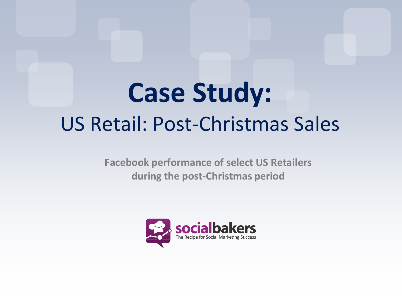# **Case Study:** US Retail: Post-Christmas Sales

**Facebook performance of select US Retailers during the post-Christmas period**

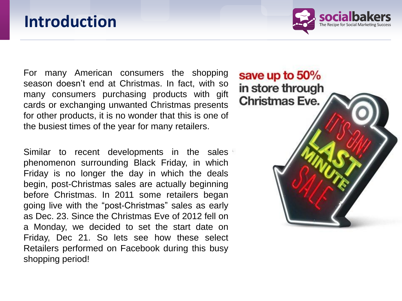## **Introduction**

For many American consumers the shopping season doesn't end at Christmas. In fact, with so many consumers purchasing products with gift cards or exchanging unwanted Christmas presents for other products, it is no wonder that this is one of the busiest times of the year for many retailers.

Similar to recent developments in the sales phenomenon surrounding Black Friday, in which Friday is no longer the day in which the deals begin, post-Christmas sales are actually beginning before Christmas. In 2011 some retailers began going live with the "post-Christmas" sales as early as Dec. 23. Since the Christmas Eve of 2012 fell on a Monday, we decided to set the start date on Friday, Dec 21. So lets see how these select Retailers performed on Facebook during this busy shopping period!

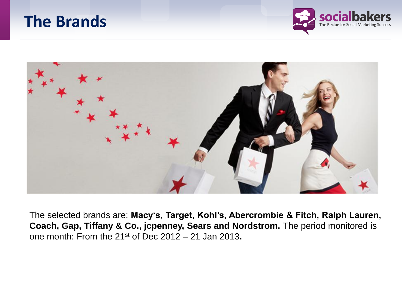## **The Brands**





The selected brands are: **Macy's, Target, Kohl's, Abercrombie & Fitch, Ralph Lauren, Coach, Gap, Tiffany & Co., jcpenney, Sears and Nordstrom.** The period monitored is one month: From the 21st of Dec 2012 – 21 Jan 2013**.**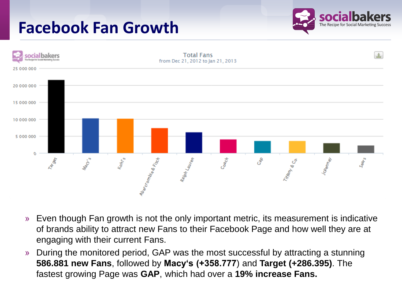# **Facebook Fan Growth**





- » Even though Fan growth is not the only important metric, its measurement is indicative of brands ability to attract new Fans to their Facebook Page and how well they are at engaging with their current Fans.
- » During the monitored period, GAP was the most successful by attracting a stunning **586.881 new Fans**, followed by **Macy's (+358.777**) and **Target (+286.395)**. The fastest growing Page was **GAP**, which had over a **19% increase Fans.**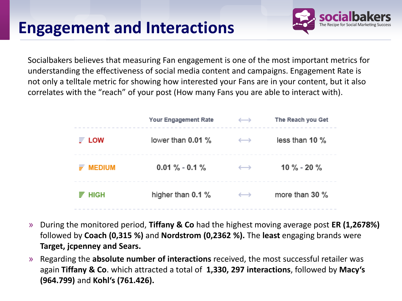# **Engagement and Interactions**

Socialbakers believes that measuring Fan engagement is one of the most important metrics for understanding the effectiveness of social media content and campaigns. Engagement Rate is not only a telltale metric for showing how interested your Fans are in your content, but it also correlates with the "reach" of your post (How many Fans you are able to interact with).

|               | Your Engagement Rate | $\longleftrightarrow$ | The Reach you Get |
|---------------|----------------------|-----------------------|-------------------|
| <b>LOW</b>    | lower than 0.01 %    | $\longleftrightarrow$ | less than 10 $\%$ |
| <b>MEDIUM</b> | $0.01\% - 0.1\%$     | $\longleftrightarrow$ | 10 % - 20 %       |
| <b>HIGH</b>   | higher than 0.1 %    | $\hookrightarrow$     | more than 30 $\%$ |

- » During the monitored period, **Tiffany & Co** had the highest moving average post **ER (1,2678%)**  followed by **Coach (0,315 %)** and **Nordstrom (0,2362 %).** The **least** engaging brands were **Target, jcpenney and Sears.**
- » Regarding the **absolute number of interactions** received, the most successful retailer was again **Tiffany & Co**. which attracted a total of **1,330, 297 interactions**, followed by **Macy's (964.799)** and **Kohl's (761.426).**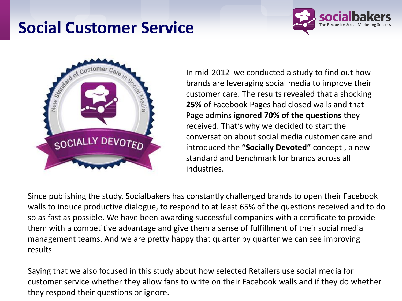# **Social Customer Service**





In mid-2012 we conducted a study to find out how brands are leveraging social media to improve their customer care. The results revealed that a shocking **25%** of Facebook Pages had closed walls and that Page admins **ignored 70% of the questions** they received. That's why we decided to start the conversation about social media customer care and introduced the **"Socially Devoted"** concept , a new standard and benchmark for brands across all industries.

Since publishing the study, Socialbakers has constantly challenged brands to open their Facebook walls to induce productive dialogue, to respond to at least 65% of the questions received and to do so as fast as possible. We have been awarding successful companies with a certificate to provide them with a competitive advantage and give them a sense of fulfillment of their social media management teams. And we are pretty happy that quarter by quarter we can see improving results.

Saying that we also focused in this study about how selected Retailers use social media for customer service whether they allow fans to write on their Facebook walls and if they do whether they respond their questions or ignore.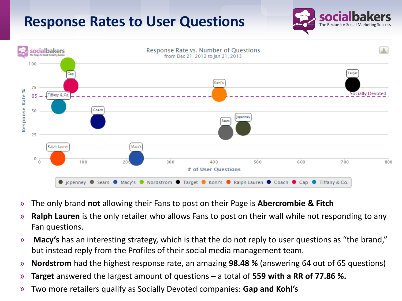#### **Response Rates to User Questions**





- » The only brand **not** allowing their Fans to post on their Page is **Abercrombie & Fitch**
- » **Ralph Lauren** is the only retailer who allows Fans to post on their wall while not responding to any Fan questions.
- » **Macy's** has an interesting strategy, which is that the do not reply to user questions as "the brand," but instead reply from the Profiles of their social media management team.
- » **Nordstrom** had the highest response rate, an amazing **98.48 %** (answering 64 out of 65 questions)
- » **Target** answered the largest amount of questions a total of **559 with a RR of 77.86 %.**
- » Two more retailers qualify as Socially Devoted companies: **Gap and Kohl's**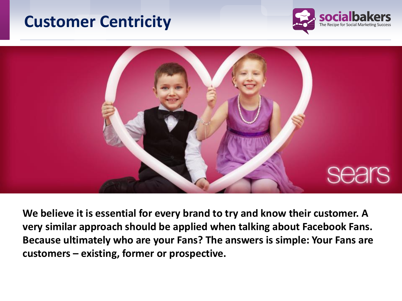## **Customer Centricity**





**We believe it is essential for every brand to try and know their customer. A very similar approach should be applied when talking about Facebook Fans. Because ultimately who are your Fans? The answers is simple: Your Fans are customers – existing, former or prospective.**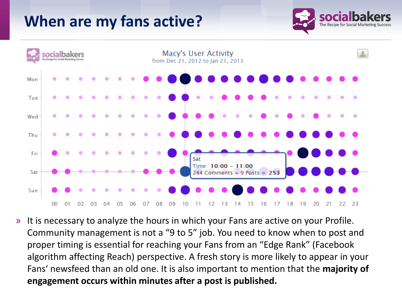## **When are my fans active?**





» It is necessary to analyze the hours in which your Fans are active on your Profile. Community management is not a "9 to 5" job. You need to know when to post and proper timing is essential for reaching your Fans from an "Edge Rank" (Facebook algorithm affecting Reach) perspective. A fresh story is more likely to appear in your Fans' newsfeed than an old one. It is also important to mention that the **majority of engagement occurs within minutes after a post is published.**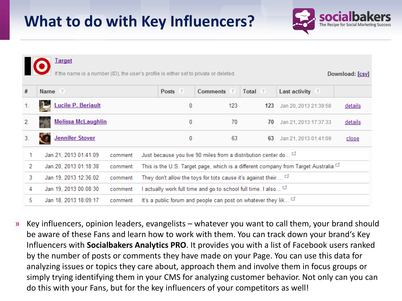## **What to do with Key Influencers?**



Target

name is a number (ID), the user's profile is either set to private or deleted.

Download: [csv]

| #  | Name ?                    |         | Posts ?                                                                                 | Comments ? | Total ? | Last activity ?       |         |  |  |
|----|---------------------------|---------|-----------------------------------------------------------------------------------------|------------|---------|-----------------------|---------|--|--|
|    | <b>Lucile P. Beriault</b> |         | 0                                                                                       | 123        | 123     | Jan 20, 2013 21:39:58 | details |  |  |
| 2. | <b>Melissa McLaughlin</b> |         | 0                                                                                       | 70         | 70      | Jan 21, 2013 17:37:33 | details |  |  |
| 3. | <b>Jennifer Stover</b>    |         | 0                                                                                       | 63         | 63      | Jan 21, 2013 01:41:09 | close   |  |  |
|    | Jan 21, 2013 01:41:09     | comment | Just because you live 90 miles from a distribution center do                            |            |         |                       |         |  |  |
| 2  | Jan 20, 2013 01:18:38     | comment | This is the U.S. Target page, which is a different company from Target Australia $\Box$ |            |         |                       |         |  |  |
| 3  | Jan 19, 2013 12:36:02     | comment | They don't allow the toys for tots cause it's against their $\ldots$                    |            |         |                       |         |  |  |
| 4  | Jan 19, 2013 00:08:30     | comment | I actually work full time and go to school full time. I also $\Box$                     |            |         |                       |         |  |  |
| 5  | Jan 18, 2013 18:09:17     | comment | It's a public forum and people can post on whatever they lik $\Box$                     |            |         |                       |         |  |  |

» Key influencers, opinion leaders, evangelists – whatever you want to call them, your brand should be aware of these Fans and learn how to work with them. You can track down your brand's Key Influencers with **Socialbakers Analytics PRO**. It provides you with a list of Facebook users ranked by the number of posts or comments they have made on your Page. You can use this data for analyzing issues or topics they care about, approach them and involve them in focus groups or simply trying identifying them in your CMS for analyzing customer behavior. Not only can you can do this with your Fans, but for the key influencers of your competitors as well!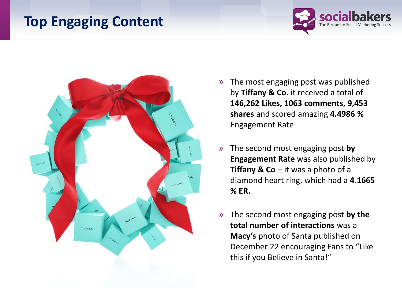#### **Top Engaging Content**





- » The most engaging post was published by **Tiffany & Co**. it received a total of **146,262 Likes, 1063 comments, 9,453 shares** and scored amazing **4.4986 %** Engagement Rate
- » The second most engaging post **by Engagement Rate** was also published by **Tiffany & Co**  $-$  it was a photo of a diamond heart ring, which had a **4.1665 % ER.**
- » The second most engaging post **by the total number of interactions** was a **Macy's** photo of Santa published on December 22 encouraging Fans to "Like this if you Believe in Santa!"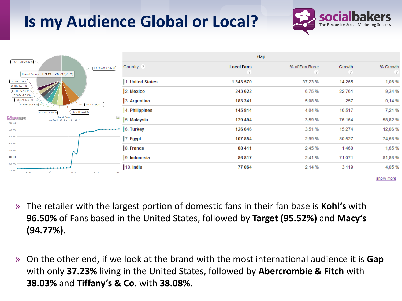# **Is my Audience Global or Local?**



| 1 076 178 (29,82 %)                                                                    | Gap              |                   |               |         |          |  |
|----------------------------------------------------------------------------------------|------------------|-------------------|---------------|---------|----------|--|
| 343 570 (37,23%)<br>United States: 1 343 570 (37,23 %)                                 | Country ?        | <b>Local Fans</b> | % of Fan Base | Growth  | % Growth |  |
| 77 064 (2,14 %)<br>86 817 (2,41 %)                                                     | 1. United States | 1 343 570         | 37,23 %       | 14 265  | 1,06 %   |  |
| 88 411 (2,45 %)<br>107 854 (2,99 %)                                                    | 2. Mexico        | 243 622           | 6,75%         | 22761   | 9,34 %   |  |
| 126 646 (3,51 %)<br>129 494 (3,59 %)<br>243 622 (6,75 %)                               | 3. Argentina     | 183 341           | 5,08 %        | 257     | 0,14%    |  |
| 183 341 (5,08%)<br>145 814 (4,04 %)                                                    | 4. Philippines   | 145 814           | 4,04 %        | 10517   | 7,21%    |  |
| socialbakers<br><b>Total Fans</b><br>土<br>from Dec 21, 2012 to Jan 21, 2013<br>3700000 | 5. Malaysia      | 129 494           | 3,59 %        | 76 164  | 58,82%   |  |
| 3 600 000                                                                              | 6. Turkey        | 126 646           | 3,51%         | 15 274  | 12,06%   |  |
| 3 500 000                                                                              | 7. Egypt         | 107 854           | 2,99 %        | 80 527  | 74,66%   |  |
| 3 400 000<br>3 300 000                                                                 | 8. France        | 88 411            | 2,45 %        | 1460    | 1,65%    |  |
| 3 200 000                                                                              | 9. Indonesia     | 86 817            | 2,41%         | 71071   | 81,86 %  |  |
| 3 100 000<br>3 000 000                                                                 | 10. India        | 77 064            | 2,14 %        | 3 1 1 9 | 4,05%    |  |
| Dec 24<br>Dec 31<br>Jan 07<br>Jan 14<br>Jan 21                                         |                  |                   |               |         |          |  |

show more

- » The retailer with the largest portion of domestic fans in their fan base is **Kohl's** with **96.50%** of Fans based in the United States, followed by **Target (95.52%)** and **Macy's (94.77%).**
- » On the other end, if we look at the brand with the most international audience it is **Gap** with only **37.23%** living in the United States, followed by **Abercrombie & Fitch** with **38.03%** and **Tiffany's & Co.** with **38.08%.**